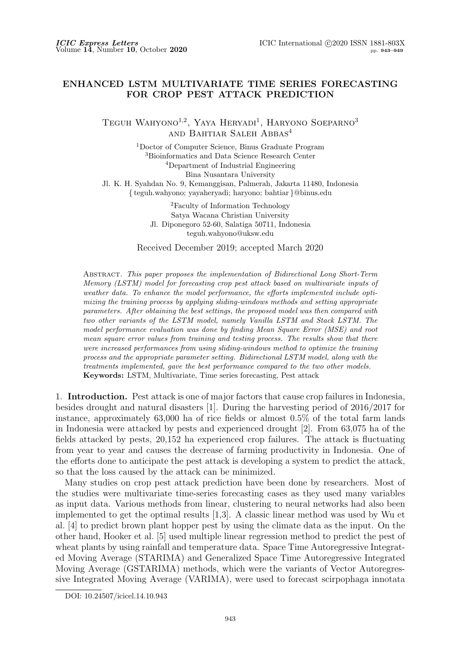## **ENHANCED LSTM MULTIVARIATE TIME SERIES FORECASTING FOR CROP PEST ATTACK PREDICTION**

TEGUH WAHYONO<sup>1,2</sup>, YAYA HERYADI<sup>1</sup>, HARYONO SOEPARNO<sup>3</sup> and Bahtiar Saleh Abbas<sup>4</sup>

<sup>1</sup>Doctor of Computer Science, Binus Graduate Program <sup>3</sup>Bioinformatics and Data Science Research Center <sup>4</sup>Department of Industrial Engineering Bina Nusantara University Jl. K. H. Syahdan No. 9, Kemanggisan, Palmerah, Jakarta 11480, Indonesia *{* teguh.wahyono; yayaheryadi; haryono; bahtiar *}*@binus.edu

> <sup>2</sup>Faculty of Information Technology Satya Wacana Christian University Jl. Diponegoro 52-60, Salatiga 50711, Indonesia teguh.wahyono@uksw.edu

Received December 2019; accepted March 2020

Abstract. *This paper proposes the implementation of Bidirectional Long Short-Term Memory (LSTM) model for forecasting crop pest attack based on multivariate inputs of weather data. To enhance the model performance, the efforts implemented include optimizing the training process by applying sliding-windows methods and setting appropriate parameters. After obtaining the best settings, the proposed model was then compared with two other variants of the LSTM model, namely Vanilla LSTM and Stack LSTM. The model performance evaluation was done by finding Mean Square Error (MSE) and root mean square error values from training and testing process. The results show that there were increased performances from using sliding-windows method to optimize the training process and the appropriate parameter setting. Bidirectional LSTM model, along with the treatments implemented, gave the best performance compared to the two other models.* **Keywords:** LSTM, Multivariate, Time series forecasting, Pest attack

1. **Introduction.** Pest attack is one of major factors that cause crop failures in Indonesia, besides drought and natural disasters [1]. During the harvesting period of 2016/2017 for instance, approximately 63,000 ha of rice fields or almost 0.5% of the total farm lands in Indonesia were attacked by pests and experienced drought [2]. From 63,075 ha of the fields attacked by pests, 20,152 ha experienced crop failures. The attack is fluctuating from year to year and causes the decrease of farming productivity in Indonesia. One of the efforts done to anticipate the pest attack is developing a system to predict the attack, so that the loss caused by the attack can be minimized.

Many studies on crop pest attack prediction have been done by researchers. Most of the studies were multivariate time-series forecasting cases as they used many variables as input data. Various methods from linear, clustering to neural networks had also been implemented to get the optimal results [1,3]. A classic linear method was used by Wu et al. [4] to predict brown plant hopper pest by using the climate data as the input. On the other hand, Hooker et al. [5] used multiple linear regression method to predict the pest of wheat plants by using rainfall and temperature data. Space Time Autoregressive Integrated Moving Average (STARIMA) and Generalized Space Time Autoregressive Integrated Moving Average (GSTARIMA) methods, which were the variants of Vector Autoregressive Integrated Moving Average (VARIMA), were used to forecast scirpophaga innotata

DOI: 10.24507/icicel.14.10.943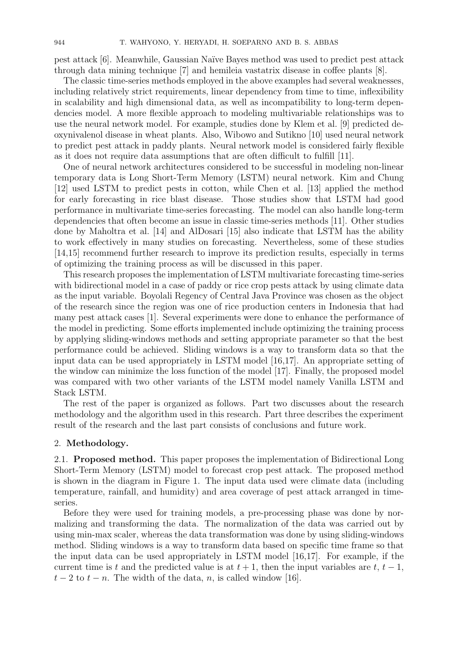pest attack [6]. Meanwhile, Gaussian Na¨ıve Bayes method was used to predict pest attack through data mining technique [7] and hemileia vastatrix disease in coffee plants [8].

The classic time-series methods employed in the above examples had several weaknesses, including relatively strict requirements, linear dependency from time to time, inflexibility in scalability and high dimensional data, as well as incompatibility to long-term dependencies model. A more flexible approach to modeling multivariable relationships was to use the neural network model. For example, studies done by Klem et al. [9] predicted deoxynivalenol disease in wheat plants. Also, Wibowo and Sutikno [10] used neural network to predict pest attack in paddy plants. Neural network model is considered fairly flexible as it does not require data assumptions that are often difficult to fulfill [11].

One of neural network architectures considered to be successful in modeling non-linear temporary data is Long Short-Term Memory (LSTM) neural network. Kim and Chung [12] used LSTM to predict pests in cotton, while Chen et al. [13] applied the method for early forecasting in rice blast disease. Those studies show that LSTM had good performance in multivariate time-series forecasting. The model can also handle long-term dependencies that often become an issue in classic time-series methods [11]. Other studies done by Maholtra et al. [14] and AlDosari [15] also indicate that LSTM has the ability to work effectively in many studies on forecasting. Nevertheless, some of these studies [14,15] recommend further research to improve its prediction results, especially in terms of optimizing the training process as will be discussed in this paper.

This research proposes the implementation of LSTM multivariate forecasting time-series with bidirectional model in a case of paddy or rice crop pests attack by using climate data as the input variable. Boyolali Regency of Central Java Province was chosen as the object of the research since the region was one of rice production centers in Indonesia that had many pest attack cases [1]. Several experiments were done to enhance the performance of the model in predicting. Some efforts implemented include optimizing the training process by applying sliding-windows methods and setting appropriate parameter so that the best performance could be achieved. Sliding windows is a way to transform data so that the input data can be used appropriately in LSTM model [16,17]. An appropriate setting of the window can minimize the loss function of the model [17]. Finally, the proposed model was compared with two other variants of the LSTM model namely Vanilla LSTM and Stack LSTM.

The rest of the paper is organized as follows. Part two discusses about the research methodology and the algorithm used in this research. Part three describes the experiment result of the research and the last part consists of conclusions and future work.

## 2. **Methodology.**

2.1. **Proposed method.** This paper proposes the implementation of Bidirectional Long Short-Term Memory (LSTM) model to forecast crop pest attack. The proposed method is shown in the diagram in Figure 1. The input data used were climate data (including temperature, rainfall, and humidity) and area coverage of pest attack arranged in timeseries.

Before they were used for training models, a pre-processing phase was done by normalizing and transforming the data. The normalization of the data was carried out by using min-max scaler, whereas the data transformation was done by using sliding-windows method. Sliding windows is a way to transform data based on specific time frame so that the input data can be used appropriately in LSTM model [16,17]. For example, if the current time is *t* and the predicted value is at  $t + 1$ , then the input variables are  $t, t - 1$ ,  $t-2$  to  $t-n$ . The width of the data, *n*, is called window [16].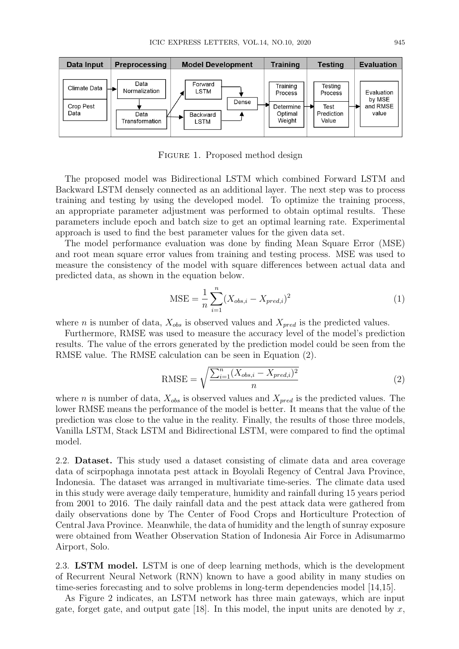

Figure 1. Proposed method design

The proposed model was Bidirectional LSTM which combined Forward LSTM and Backward LSTM densely connected as an additional layer. The next step was to process training and testing by using the developed model. To optimize the training process, an appropriate parameter adjustment was performed to obtain optimal results. These parameters include epoch and batch size to get an optimal learning rate. Experimental approach is used to find the best parameter values for the given data set.

The model performance evaluation was done by finding Mean Square Error (MSE) and root mean square error values from training and testing process. MSE was used to measure the consistency of the model with square differences between actual data and predicted data, as shown in the equation below.

$$
MSE = \frac{1}{n} \sum_{i=1}^{n} (X_{obs,i} - X_{pred,i})^2
$$
 (1)

where *n* is number of data,  $X_{obs}$  is observed values and  $X_{pred}$  is the predicted values.

Furthermore, RMSE was used to measure the accuracy level of the model's prediction results. The value of the errors generated by the prediction model could be seen from the RMSE value. The RMSE calculation can be seen in Equation (2).

$$
\text{RMSE} = \sqrt{\frac{\sum_{i=1}^{n} (X_{obs,i} - X_{pred,i})^2}{n}}
$$
\n(2)

where *n* is number of data,  $X_{obs}$  is observed values and  $X_{pred}$  is the predicted values. The lower RMSE means the performance of the model is better. It means that the value of the prediction was close to the value in the reality. Finally, the results of those three models, Vanilla LSTM, Stack LSTM and Bidirectional LSTM, were compared to find the optimal model.

2.2. **Dataset.** This study used a dataset consisting of climate data and area coverage data of scirpophaga innotata pest attack in Boyolali Regency of Central Java Province, Indonesia. The dataset was arranged in multivariate time-series. The climate data used in this study were average daily temperature, humidity and rainfall during 15 years period from 2001 to 2016. The daily rainfall data and the pest attack data were gathered from daily observations done by The Center of Food Crops and Horticulture Protection of Central Java Province. Meanwhile, the data of humidity and the length of sunray exposure were obtained from Weather Observation Station of Indonesia Air Force in Adisumarmo Airport, Solo.

2.3. **LSTM model.** LSTM is one of deep learning methods, which is the development of Recurrent Neural Network (RNN) known to have a good ability in many studies on time-series forecasting and to solve problems in long-term dependencies model [14,15].

As Figure 2 indicates, an LSTM network has three main gateways, which are input gate, forget gate, and output gate  $[18]$ . In this model, the input units are denoted by x,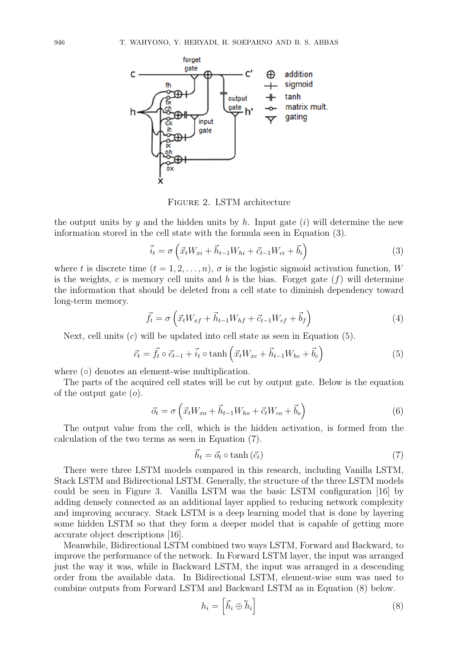

Figure 2. LSTM architecture

the output units by *y* and the hidden units by *h*. Input gate (*i*) will determine the new information stored in the cell state with the formula seen in Equation (3).

$$
\vec{i}_t = \sigma \left( \vec{x}_t W_{xi} + \vec{h}_{t-1} W_{hi} + \vec{c}_{t-1} W_{ci} + \vec{b}_i \right)
$$
 (3)

where *t* is discrete time  $(t = 1, 2, \ldots, n)$ ,  $\sigma$  is the logistic sigmoid activation function, *W* is the weights,  $c$  is memory cell units and  $b$  is the bias. Forget gate  $(f)$  will determine the information that should be deleted from a cell state to diminish dependency toward long-term memory.

$$
\vec{f}_t = \sigma \left( \vec{x}_t W_{xf} + \vec{h}_{t-1} W_{hf} + \vec{c}_{t-1} W_{cf} + \vec{b}_f \right)
$$
\n(4)

Next, cell units (*c*) will be updated into cell state as seen in Equation (5).

$$
\vec{c}_t = \vec{f}_t \circ \vec{c}_{t-1} + \vec{i}_t \circ \tanh\left(\vec{x}_t W_{xc} + \vec{h}_{t-1} W_{hc} + \vec{b}_c\right)
$$
(5)

where (**○**) denotes an element-wise multiplication.

The parts of the acquired cell states will be cut by output gate. Below is the equation of the output gate (*o*).

$$
\vec{o}_t = \sigma \left( \vec{x}_t W_{xo} + \vec{h}_{t-1} W_{ho} + \vec{c}_t W_{co} + \vec{b}_o \right)
$$
(6)

The output value from the cell, which is the hidden activation, is formed from the calculation of the two terms as seen in Equation (7).

$$
\vec{h}_t = \vec{o}_t \circ \tanh\left(\vec{c}_t\right) \tag{7}
$$

There were three LSTM models compared in this research, including Vanilla LSTM, Stack LSTM and Bidirectional LSTM. Generally, the structure of the three LSTM models could be seen in Figure 3. Vanilla LSTM was the basic LSTM configuration [16] by adding densely connected as an additional layer applied to reducing network complexity and improving accuracy. Stack LSTM is a deep learning model that is done by layering some hidden LSTM so that they form a deeper model that is capable of getting more accurate object descriptions [16].

Meanwhile, Bidirectional LSTM combined two ways LSTM, Forward and Backward, to improve the performance of the network. In Forward LSTM layer, the input was arranged just the way it was, while in Backward LSTM, the input was arranged in a descending order from the available data. In Bidirectional LSTM, element-wise sum was used to combine outputs from Forward LSTM and Backward LSTM as in Equation (8) below.

$$
h_i = \left[\vec{h}_i \oplus \vec{h}_i\right] \tag{8}
$$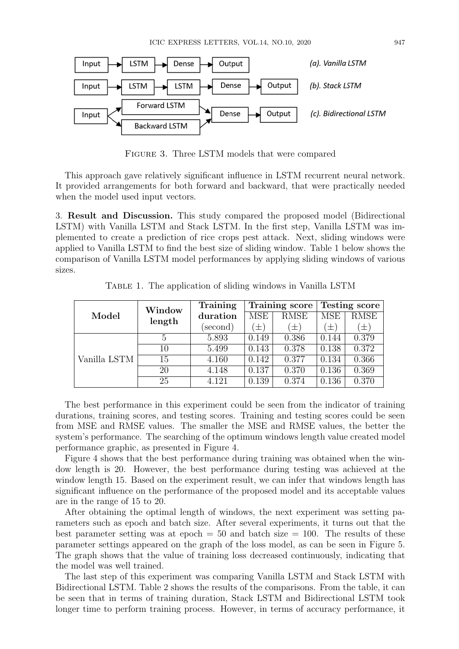

Figure 3. Three LSTM models that were compared

This approach gave relatively significant influence in LSTM recurrent neural network. It provided arrangements for both forward and backward, that were practically needed when the model used input vectors.

3. **Result and Discussion.** This study compared the proposed model (Bidirectional LSTM) with Vanilla LSTM and Stack LSTM. In the first step, Vanilla LSTM was implemented to create a prediction of rice crops pest attack. Next, sliding windows were applied to Vanilla LSTM to find the best size of sliding window. Table 1 below shows the comparison of Vanilla LSTM model performances by applying sliding windows of various sizes.

| Model        | Window<br>length | Training |         | Training score      | <b>Testing score</b> |        |
|--------------|------------------|----------|---------|---------------------|----------------------|--------|
|              |                  | duration | MSE     | <b>RMSE</b>         | <b>MSE</b>           | RMSE   |
|              |                  | (second) | $(\pm)$ | $\left( \pm\right)$ | $\pm)$               | $\pm)$ |
| Vanilla LSTM |                  | 5.893    | 0.149   | 0.386               | 0.144                | 0.379  |
|              | 10               | 5.499    | 0.143   | 0.378               | 0.138                | 0.372  |
|              | 15               | 4.160    | 0.142   | 0.377               | 0.134                | 0.366  |
|              | 20               | 4.148    | 0.137   | 0.370               | 0.136                | 0.369  |
|              | 25               | 4.121    | 0.139   | 0.374               | 0.136                | 0.370  |

Table 1. The application of sliding windows in Vanilla LSTM

The best performance in this experiment could be seen from the indicator of training durations, training scores, and testing scores. Training and testing scores could be seen from MSE and RMSE values. The smaller the MSE and RMSE values, the better the system's performance. The searching of the optimum windows length value created model performance graphic, as presented in Figure 4.

Figure 4 shows that the best performance during training was obtained when the window length is 20. However, the best performance during testing was achieved at the window length 15. Based on the experiment result, we can infer that windows length has significant influence on the performance of the proposed model and its acceptable values are in the range of 15 to 20.

After obtaining the optimal length of windows, the next experiment was setting parameters such as epoch and batch size. After several experiments, it turns out that the best parameter setting was at epoch  $= 50$  and batch size  $= 100$ . The results of these parameter settings appeared on the graph of the loss model, as can be seen in Figure 5. The graph shows that the value of training loss decreased continuously, indicating that the model was well trained.

The last step of this experiment was comparing Vanilla LSTM and Stack LSTM with Bidirectional LSTM. Table 2 shows the results of the comparisons. From the table, it can be seen that in terms of training duration, Stack LSTM and Bidirectional LSTM took longer time to perform training process. However, in terms of accuracy performance, it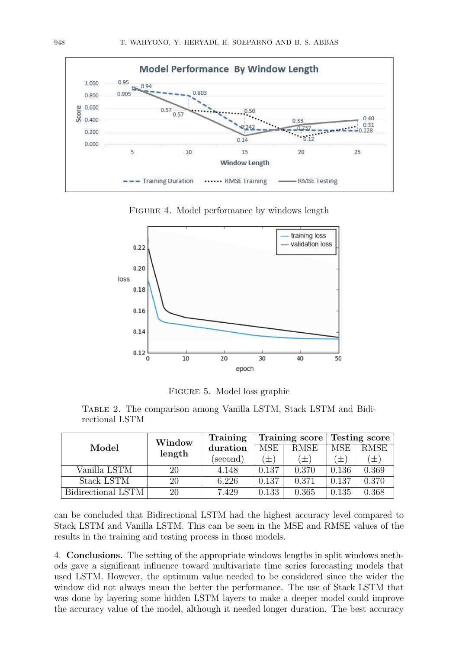

FIGURE 4. Model performance by windows length



Figure 5. Model loss graphic

Table 2. The comparison among Vanilla LSTM, Stack LSTM and Bidirectional LSTM

|                    | Window | Training<br>Training score |            | Testing score |            |                     |
|--------------------|--------|----------------------------|------------|---------------|------------|---------------------|
| Model              | length | duration                   | <b>MSE</b> | <b>RMSE</b>   | <b>MSE</b> | <b>RMSE</b>         |
|                    |        | (second)                   | $\pm$      | 士             | $\pm$ '    | $\left( \pm\right)$ |
| Vanilla LSTM       | 20     | 4.148                      | 0.137      | 0.370         | 0.136      | 0.369               |
| Stack LSTM         | 20     | 6.226                      | 0.137      | 0.371         | 0.137      | 0.370               |
| Bidirectional LSTM | 20     | 7.429                      | 0.133      | 0.365         | 0.135      | 0.368               |

can be concluded that Bidirectional LSTM had the highest accuracy level compared to Stack LSTM and Vanilla LSTM. This can be seen in the MSE and RMSE values of the results in the training and testing process in those models.

4. **Conclusions.** The setting of the appropriate windows lengths in split windows methods gave a significant influence toward multivariate time series forecasting models that used LSTM. However, the optimum value needed to be considered since the wider the window did not always mean the better the performance. The use of Stack LSTM that was done by layering some hidden LSTM layers to make a deeper model could improve the accuracy value of the model, although it needed longer duration. The best accuracy